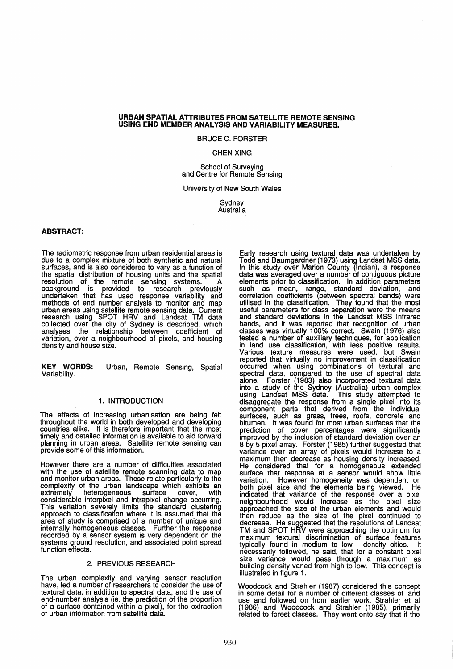## URBAN SPATIAL ATTRIBUTES FROM SATELLITE REMOTE SENSING USING END MEMBER ANALYSIS AND VARIABILITY MEASURES.

BRUCE C. FORSTER

## CHEN XING

#### School of Surveying and Centre for Remote Sensing

University of New South Wales

**Sydney** Australia

## ABSTRACT:

The radiometric response from urban residential areas is due to a complex mixture of both synthetic and natural surfaces, and is also considered to vary as a function of the spatial distribution of housing units and the spatial resolution of the remote sensing systems. A background is provided to research previously undertaken that has used response variability and methods of end number analysis to monitor and map urban areas using satellite remote sensing data. Current research using SPOT HRV and Landsat TM data collected over the city of Sydney is described, which analyses the relationship between coefficient of variation, over a neighbourhood of pixels, and housing density and house size.

Urban, Remote Sensing, Spatial **KEY WORDS:**<br>Variability.

## 1. INTRODUCTION

The effects of increasing urbanisation are being felt throughout the world in both developed and developing countries alike. It is therefore important that the most timely and detailed information is available to aid forward planning in urban areas. Satellite remote sensing can provide some of this information.

However there are a number of difficulties associated with the use of satellite remote scanning data to map and monitor urban areas. These relate particularly to the complexity of the urban landscape which exhibits an extremely heterogeneous surface cover, with considerable interpixel and intrapixel change occurring. This variation severely limits the standard clustering approach to classification where it is assumed that the area of study is comprised of a number of unique and internally homogeneous classes. Further the response recorded by a sensor system is very dependent on the systems ground resolution, and associated point spread function effects.

#### 2. PREVIOUS RESEARCH

The urban complexity and varying sensor resolution have, led a number of researchers to consider the use of textural data, in addition to spectral data, and the use of end-number analysis (ie. the prediction of the proportion of a surface contained within a pixel), for the extraction of urban information from satellite data.

Early research using textural data was undertaken by Todd and Baumgardner (1973) using Landsat MSS data. In this study over Marion County (Indian). a response data was averaged over a number of contiguous picture elements prior to classification. In addition parameters such as mean. range, standard deviation, and correlation coefficients (between spectral bands) were utilised in the classification. They found that the most useful parameters for class separation were the means and standard deviations in the Landsat MSS infrared bands, and it was. reported that recognition of urban classes was virtually 100% correct. Swain (1976) also tested a number of auxiliary techniques, for application in land use classification, with less positive results. Various texture measures were used, but Swain reported that virtually no improvement in classification occurred when using combinations of textural and spectral data, compared to the use of spectral data alone. Forster (1983) also incorporated textural data into a study of the Sydney (Australia) urban complex using Landsat MSS data. This study attempted to disaggregate the response from a single pixel into its component parts that derived from the individual surfaces, such as grass, trees, roofs. concrete and bitumen. It was found for most urban surfaces that the prediction of cover percentages were significantly improved by the inclusion of standard deviation over an 8 by 5 pixel array. Forster (1985) further suggested that variance over an array of pixels would increase to a maximum then decrease as housing density increased. He considered that for a homogeneous extended surface that response at a sensor would show little variation. However homogeneity was dependent on both pixel size and the elements being viewed. He indicated that variance of the response over a pixel neighbourhood would increase as the pixel size approached the size of the urban elements and would then reduce as the size of the pixel continued to decrease. He suggested that the resolutions of Landsat TM and SPOT HRV were approaching the optimum for maximum textural discrimination of surface features typically found in medium to low - density cities. It necessarily followed, he said, that for a constant pixel size variance would pass through a maximum as building density varied from high to low. This concept is illustrated in figure 1.

Woodcock and Strahler (1987) considered this concept in some detail for a number of different classes of land use and followed on from earlier work, Strahler et al (1986) and Woodcock and Strahler (1985), primarily related to forest classes. They went onto say that if the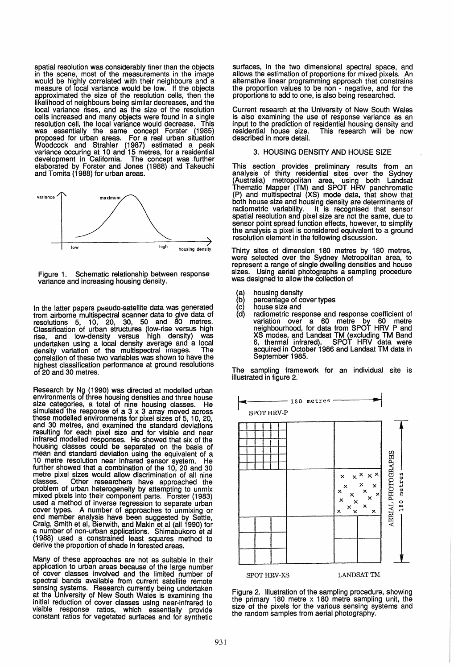spatial resolution was considerably finer than the objects in the scene, most of the measurements in the image would be highly correlated with their neighbours and a measure of local variance would be low. If the objects approximated the size of the resolution cells, then the likelihood of neighbours being similar decreases, and the local variance rises, and as the size of the resolution cells increased and many objects were found in a single resolution cell, the local variance would decrease. This was essentially the same concept Forster (1985) proposed for urban areas. For a real urban situation Woodcock and Strahler (1987) estimated a peak variance occuring at 10 and 15 metres, for a residential development in California. The concept was further elaborated by Forster and Jones (1988) and Takeuchi and Tomita (1988) for urban areas.



Figure 1. Schematic relationship between response variance and increasing housing density.

In the latter papers pseudo-satellite data was generated from airborne multispectral scanner data to give data of resolutions 5, 10, 20, 30, 50 and 80 metres. Classification of urban structures (low-rise versus high rise, and low-density versus high density) was undertaken using a local density average and a local density variation of the multispectral images. The correlation of these two variables was shown to have the highest classification performance at ground resolutions of 20 and 30 metres.

Research by Ng (1990) was directed at modelled urban environments of three housing densities and three house size categories, a total of nine housing classes. He simulated the response of a 3 x 3 array moved across these modelled environments for pixel sizes of 5, 10, 20, and 30 metres, and examined the standard deviations resulting for each pixel size and for visible and near infrared modelled responses. He showed that six of the housing classes could be separated on the basis of mean and standard deviation using the equivalent of a 10 metre resolution near infrared sensor system. He further showed that a combination of the 10, 20 and 30 metre pixel sizes would allow discrimination of all nine classes. Other researchers have approached the problem of urban heterogeneity by attempting to unmix mixed pixels into their component parts. Forster (1983) used a method of inverse regression to separate urban cover types. A number of approaches to unmixing or end member analysis have been suggested by Settle, Craig, Smith et ai, Bierwith, and Makin et al (all 1990) for a number of non-urban applications. Shimabukoro et al (1988) used a constrained least squares method to derive the proportion of shade in forested areas.

Many of these approaches are not as suitable in their application to urban areas because of the large number of cover classes involved and the limited number of spectral bands available from current satellite remote sensing systems. Research currently being undertaken at the University of New South Wales is examining the initial reduction of cover classes using near-infrared to visible response ratios, which essentially provide constant ratios for vegetated surfaces and for synthetic

surfaces, in the two dimensional spectral space, and allows the estimation of proportions for mixed pixels. An alternative linear programming approach that constrains the proportion values to be non - negative, and for the proportions to add to one, is also being researched.

Current research at the University of New South Wales is also· examining the use of response variance as an input to the prediction of residential housing density and residential house size. This research will be now described in more detail.

### 3. HOUSING DENSITY AND HOUSE SIZE

This section provides preliminary results from an analysis of thirty residential sites over the Sydney (Australia) metropolitan area, using both Landsat Thematic Mapper (TM) and SPOT HRV panchromatic (P) and multispectral (XS) mode data, that show that both house size and housing density are determinants of radiometric variability. It is recognised that sensor radiometric variability. It is recognised that sensor spatial resolution and pixel size are not the same, due to sensor point spread function effects, however, to simplify the analysis a pixel is considered equivalent to a ground resolution element in the following discussion.

Thirty sites of dimension 180 metres by 180 metres, were selected over the Sydney Metropolitan area, to represent a range of single dwelling densities and house sizes. Using aerial photographs a sampling procedure was designed to allow the collection of

- 
- housing density<br>percentage of cover types
- $\begin{pmatrix} 6 \ 6 \end{pmatrix}$ <br> $\begin{pmatrix} 6 \ 0 \end{pmatrix}$ house size and
- radiometric response and response coefficient of variation over a 60 metre by 60 metre neighbourhood, for data from SPOT HRV P and XS modes, and landsat TM (excluding TM Band 6, thermal infrared). spor HRV data were acquired in October 1986 and landsat TM data in September 1985.

The sampling framework for an individual site is illustrated in figure 2.



Figure 2. Illustration of the sampling procedure, showing the primary 180 metre x 180 metre sampling unit, the size of the pixels for the various sensing systems and the random samples from aerial photography.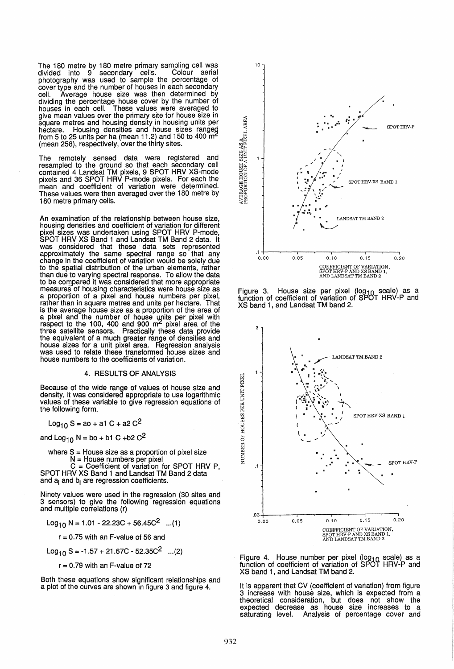The 180 metre by 180 metre primary sampling cell was divided into 9 secondary cells. Colour aerial photography was used to sample the percentage of cover type and the number of houses in each secondary cell. Average house size was then determined by dividing the percentage house cover by the number of houses in each cell. These values were averaged to give mean values over the primary site for house size in square metres and housing density in housing units per hectare. Housing densities and house sizes ranged from 5 to 25 units per ha (mean 11.2) and 150 to 400 m (mean 258). respectively, over the thirty sites.

The remotely sensed data were registered and resampled to the ground so that each secondary cell contained 4 Landsat TM pixels, 9 SPOT HRV XS-mode pixels and 36 SPOT HRV P-mode pixels. For each the mean and coefficient of variation were determined. These values were then averaged over the 180 metre by 180 metre primary cells.

An examination of the relationship between house size, housing densities and coefficient of variation for different pixel sizes was undertaken using SPOT HRV P-mode, SPOT HRV XS Band 1 and Landsat TM Band 2 data. It was considered that these data sets represented approximately the same spectral range so that any change in the coefficient of variation would be solely due to the spatial distribution of the urban elements, rather than due to varying spectral response. To allow the data to be compared it was considered that more appropriate measures' of housing characteristics were house size as a proportion of a pixel and house numbers per pixel, rather than in square metres and units per hectare. That is the average house size as a proportion of the area of a pixel and the number of house units per pixel with respect to the 100, 400 and 900 m<sup>2</sup> pixel area of the three satellite sensors. Practically these data provide the equivalent of a much greater range of densities and house sizes for a unit pixel area. Regression analysis was used to relate these transformed house sizes and house numbers to the coefficients of variation.

# 4. RESULTS OF ANALYSIS

Because of the wide range of values of house size and density, it was considered appropriate to use logarithmic values of these variable to give regression equations of the following form.

Log<sub>10</sub> S = ao + a1 C + a2  $C^2$ 

and Log<sub>10</sub> N = bo + b1 C +b2 C<sup>2</sup>

where  $S =$  House size as a proportion of pixel size N = House numbers per pixel

C = Coefficient of variation for SPOT HRV P, SPOT HRV XS Band 1 and Landsat TM Band 2 data and a<sub>i</sub> and b<sub>i</sub> are regression coefficients.

Ninety values were used in the regression (30 sites and 3 sensors) to give the following regression equations and multiple correlations (r)

Log<sub>10</sub> N = 1.01 - 22.23C + 56.45C<sup>2</sup> ...(1)

 $r = 0.75$  with an F-value of 56 and

L0910 S = -1.57 + 21.67C - 52.35C2 .,. (2)

 $r = 0.79$  with an F-value of 72

Both these equations show significant relationships and a plot of the curves are shown in figure 3 and figure 4.



Figure 3. House size per pixel (log<sub>10</sub> scale) as a function of coefficient of variation of SPOT HRV-P and XS band 1, and Landsat TM band 2.



Figure 4. House number per pixel (log<sub>10</sub> scale) as a function of coefficient of variation of SPOT HRV-P and XS band 1, and Landsat TM band 2.

It is apparent that CV (coefficient of variation) from figure 3 increase with house size, which is expected from a theoretical consideration, but does not show the expected decrease as house size increases to a saturating level. Analysis of percentage cover and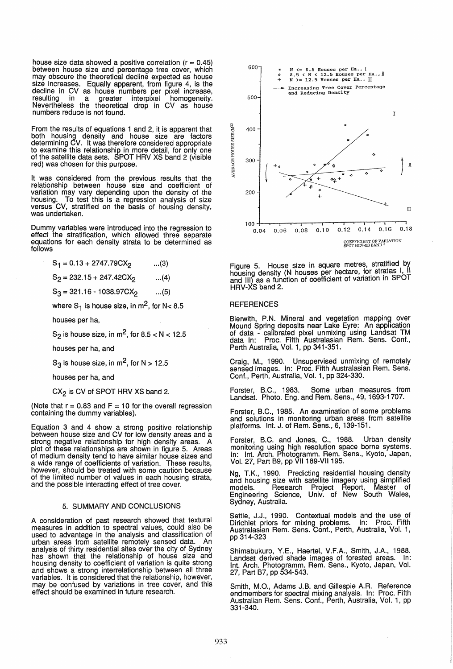house size data showed a positive correlation ( $r = 0.45$ ) between house size and percentage tree cover, which may obscure the theoretical decline expected as house size increases. Equally apparent, from figure 4, is the decline in CV as house numbers per pixel increase, resulting in a greater interpixel homogeneity. Nevertheless the theoretical drop in CV as house numbers reduce is not found.

From the results of equations 1 and 2, it is apparent that both housing density and house size are factors determining CV. It was therefore considered appropriate to examine this relationship in more detail, for only one of the satellite data sets. SPOT HRV XS band 2 (visible red) was chosen for this purpose.

It was considered from the previous results that the relationship between house size and coefficient of variation may vary depending upon the density of the housing. To test this is a regression analysis of size versus CV, stratified on the basis of housing density, was undertaken.

Dummy variables were introduced into the regression to effect the stratification, which allowed three separate equations for each density strata to be determined as follows

> $S_1 = 0.13 + 2747.79CX_2$  $...(3)$

 $S_2 = 232.15 + 247.42CX_2$  $...(4)$ 

 $S_3 = 321.16 - 1038.97CX_2$  $\dots(5)$ 

where  $S_1$  is house size, in  $m^2$ , for N< 8.5

houses per ha,

S<sub>2</sub> is house size, in m<sup>2</sup>, for  $8.5 < N < 12.5$ 

houses per ha, and

 $S_3$  is house size, in m<sup>2</sup>, for N > 12.5

houses per ha, and

CX $_2$  is CV of SPOT HRV XS band 2.

(Note that  $r = 0.83$  and  $F = 10$  for the overall regression containing the dummy variables).

Equation 3 and 4 show a strong positive relationship between house size and CV for low density areas and a strong negative relationship for high density areas. A plot of these relationships are shown in figure 5. Areas of medium density tend to have similar house sizes and a wide range of coefficients of variation. These results, however, should be treated with some caution because of the limited number of values in each housing strata, and the possible interacting effect of tree cover.

#### 5. SUMMARY AND CONCLUSIONS

A consideration of past research showed that textural measures in addition to spectral values, could also be used to advantage in the analysis and classification of urban areas from satellite remotely sensed data. An analysis of thirty residential sites over the city of Sydney has shown that the relationship of house size and housing density to coefficient of variation is quite strong and shows a strong interrelationship between all three variables. It is considered that the relationship, however, may be confused by variations in tree cover, and this effect should be examined in future research.



Figure 5. House size in square metres, stratified by housing density (N houses per hectare, for stratas I, II and III) as a function of coefficient of variation in SPOT HRV-XS band 2.

#### **REFERENCES**

Bierwith, P.N. Mineral and vegetation mapping over Mound Spring deposits near Lake Eyre: An application of data - calibrated pixel unmixing using Landsat TM data In: Proc. Fifth Australasian Rem. Sens. Conf., Perth Australia, Vol. 1, pp 341-351.

Craig, M., 1990. Unsupervised unmixing of remotely sensed images. In: Proc. Fifth Australasian Rem. Sens. Conf., Perth, Australia, Vol. 1, pp 324-330.

Forster, B.C., 1983. Some urban measures from Landsat. Photo. Eng. and Rem. Sens., 49, 1693-1707.

Forster, B.C., 1985. An examination of some problems and solutions in monitoring urban areas from satellite platforms. Int. J. of Rem. Sens., 6, 139-151.

Forster, B.C. and Jones, C., 1988. Urban density monitoring using high resolution space borne systems. In: Int. Arch. Photogramm. Rem. Sens., Kyoto, Japan, Vol. 27, Part B9, pp VII 189-VII 195.

Ng, T.K., 1990. Predicting residential housing density and housing size with satellite imagery using simplified models. Research Project Report, Master of Engineering Science, Univ. of New South Wales, Sydney, Australia.

Settle, J.J., 1990. Contextual models and the use of Dirichlet priors for mixing problems. In: Proc. Fifth Australasian Rem. Sens. Conf., Perth, Australia, Vol. 1, pp 314-323

Shimabukuro, V.E., Haertel, V.F.A., Smith, J.A., 1988. Landsat derived shade images of forested areas. In: Int. Arch. Photogramm. Rem. Sens., Kyoto, Japan, Vol. 27, Part B7, pp 534-543.

Smith, M.O., Adams J.B. and Gillespie A.R. Reference endmembers for spectral mixing analysis. In: Proc. Fifth Australian Rem. Sens. Conf., Perth, Australia, Vol. 1, pp 331-340.